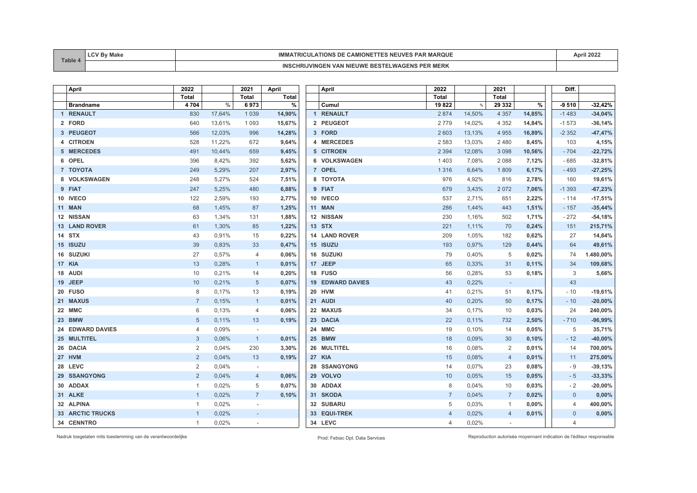| <b>Table</b> | Make | <b>IAROUI</b><br>1 B A F<br>IMMA<br>TIUNS<br><b>TRIGUE</b><br>IN I      | $\sim$ 0.0 $\sim$ |
|--------------|------|-------------------------------------------------------------------------|-------------------|
|              |      | <b>INSC</b><br>∸⊡ທ<br>.IVING<br>NIF!<br>$\boldsymbol{u}$<br><b>MERN</b> |                   |

| April                   | 2022           |        | 2021                     | April        | April                   | 2022           |        | 2021                     |        | Diff.          |           |
|-------------------------|----------------|--------|--------------------------|--------------|-------------------------|----------------|--------|--------------------------|--------|----------------|-----------|
|                         | <b>Total</b>   |        | <b>Total</b>             | <b>Total</b> |                         | Total          |        | Total                    |        |                |           |
| <b>Brandname</b>        | 4704           | %      | 6973                     | %            | Cumul                   | 19822          | %      | 29 332                   | %      | $-9510$        | $-32,42%$ |
| 1 RENAULT               | 830            | 17,64% | 1 0 3 9                  | 14,90%       | 1 RENAULT               | 2 8 7 4        | 14,50% | 4 3 5 7                  | 14,85% | $-1483$        | $-34,04%$ |
| 2 FORD                  | 640            | 13,61% | 1 0 9 3                  | 15,67%       | 2 PEUGEOT               | 2779           | 14,02% | 4 3 5 2                  | 14,84% | $-1573$        | $-36,14%$ |
| 3 PEUGEOT               | 566            | 12,03% | 996                      | 14,28%       | 3 FORD                  | 2 6 0 3        | 13,13% | 4 9 5 5                  | 16,89% | $-2352$        | $-47,47%$ |
| 4 CITROEN               | 528            | 11,22% | 672                      | 9,64%        | 4 MERCEDES              | 2 5 8 3        | 13,03% | 2480                     | 8,45%  | 103            | 4,15%     |
| 5 MERCEDES              | 491            | 10,44% | 659                      | 9,45%        | 5 CITROEN               | 2 3 9 4        | 12,08% | 3 0 9 8                  | 10,56% | $-704$         | $-22,72%$ |
| 6 OPEL                  | 396            | 8,42%  | 392                      | 5,62%        | 6 VOLKSWAGEN            | 1 4 0 3        | 7,08%  | 2088                     | 7,12%  | $-685$         | $-32,81%$ |
| 7 TOYOTA                | 249            | 5,29%  | 207                      | 2,97%        | 7 OPEL                  | 1 3 1 6        | 6,64%  | 1809                     | 6,17%  | $-493$         | $-27,25%$ |
| 8 VOLKSWAGEN            | 248            | 5,27%  | 524                      | 7,51%        | 8 TOYOTA                | 976            | 4,92%  | 816                      | 2,78%  | 160            | 19,61%    |
| 9 FIAT                  | 247            | 5,25%  | 480                      | 6,88%        | 9 FIAT                  | 679            | 3,43%  | 2072                     | 7,06%  | $-1393$        | $-67,23%$ |
| 10 IVECO                | 122            | 2,59%  | 193                      | 2,77%        | 10 IVECO                | 537            | 2,71%  | 651                      | 2,22%  | $-114$         | $-17,51%$ |
| 11 MAN                  | 68             | 1,45%  | 87                       | 1,25%        | <b>11 MAN</b>           | 286            | 1,44%  | 443                      | 1,51%  | $-157$         | $-35,44%$ |
| 12 NISSAN               | 63             | 1,34%  | 131                      | 1,88%        | 12 NISSAN               | 230            | 1,16%  | 502                      | 1,71%  | $-272$         | $-54,18%$ |
| <b>13 LAND ROVER</b>    | 61             | 1,30%  | 85                       | 1,22%        | <b>13 STX</b>           | 221            | 1,11%  | 70                       | 0,24%  | 151            | 215,71%   |
| 14 STX                  | 43             | 0,91%  | 15                       | 0,22%        | 14 LAND ROVER           | 209            | 1,05%  | 182                      | 0,62%  | 27             | 14,84%    |
| 15 ISUZU                | 39             | 0,83%  | 33                       | 0,47%        | 15 ISUZU                | 193            | 0,97%  | 129                      | 0,44%  | 64             | 49,61%    |
| 16 SUZUKI               | 27             | 0,57%  | 4                        | 0,06%        | 16 SUZUKI               | 79             | 0,40%  | 5                        | 0,02%  | 74             | 1.480,00% |
| 17 KIA                  | 13             | 0,28%  | $\mathbf{1}$             | 0,01%        | 17 JEEP                 | 65             | 0,33%  | 31                       | 0,11%  | 34             | 109,68%   |
| 18 AUDI                 | 10             | 0,21%  | 14                       | 0,20%        | 18 FUSO                 | 56             | 0,28%  | 53                       | 0,18%  | 3              | 5,66%     |
| 19 JEEP                 | 10             | 0,21%  | $5\overline{)}$          | 0,07%        | <b>19 EDWARD DAVIES</b> | 43             | 0,22%  | $\sim$                   |        | 43             |           |
| 20 FUSO                 | 8              | 0,17%  | 13                       | 0,19%        | 20 HVM                  | 41             | 0,21%  | 51                       | 0,17%  | $-10$          | $-19,61%$ |
| 21 MAXUS                | $\overline{7}$ | 0,15%  | $\overline{1}$           | 0,01%        | 21 AUDI                 | 40             | 0,20%  | 50                       | 0,17%  | $-10$          | $-20,00%$ |
| 22 MMC                  | 6              | 0,13%  | 4                        | 0,06%        | 22 MAXUS                | 34             | 0,17%  | 10                       | 0,03%  | 24             | 240,00%   |
| 23 BMW                  | 5              | 0,11%  | 13                       | 0,19%        | 23 DACIA                | 22             | 0,11%  | 732                      | 2,50%  | $-710$         | $-96,99%$ |
| <b>24 EDWARD DAVIES</b> | 4              | 0,09%  | $\overline{\phantom{a}}$ |              | 24 MMC                  | 19             | 0,10%  | 14                       | 0,05%  | 5              | 35,71%    |
| 25 MULTITEL             | 3              | 0,06%  | $\overline{1}$           | 0,01%        | <b>25 BMW</b>           | 18             | 0,09%  | 30                       | 0,10%  | $-12$          | $-40,00%$ |
| 26 DACIA                | 2              | 0,04%  | 230                      | 3,30%        | 26 MULTITEL             | 16             | 0,08%  | 2                        | 0,01%  | 14             | 700,00%   |
| 27 HVM                  | 2              | 0,04%  | 13                       | 0,19%        | 27 KIA                  | 15             | 0,08%  | $\overline{4}$           | 0,01%  | 11             | 275,00%   |
| 28 LEVC                 | $\overline{2}$ | 0,04%  | $\overline{\phantom{a}}$ |              | 28 SSANGYONG            | 14             | 0,07%  | 23                       | 0,08%  | - 9            | $-39,13%$ |
| 29 SSANGYONG            | 2              | 0,04%  | $\overline{4}$           | 0,06%        | 29 VOLVO                | 10             | 0,05%  | 15                       | 0,05%  | $-5$           | $-33,33%$ |
| 30 ADDAX                | $\mathbf{1}$   | 0,02%  | 5                        | 0,07%        | 30 ADDAX                | 8              | 0,04%  | 10                       | 0,03%  | $-2$           | $-20,00%$ |
| 31 ALKE                 | $\mathbf{1}$   | 0,02%  | $\overline{7}$           | 0,10%        | 31 SKODA                | $\overline{7}$ | 0,04%  | $\overline{7}$           | 0,02%  | $\mathbf 0$    | 0,00%     |
| 32 ALPINA               | $\mathbf{1}$   | 0,02%  |                          |              | 32 SUBARU               | 5              | 0,03%  | $\mathbf{1}$             | 0,00%  | $\overline{4}$ | 400,00%   |
| 33 ARCTIC TRUCKS        | $\mathbf{1}$   | 0,02%  | $\overline{\phantom{a}}$ |              | 33 EQUI-TREK            | $\overline{4}$ | 0,02%  | $\overline{4}$           | 0,01%  | $\mathbf{0}$   | $0,00\%$  |
| 34 CENNTRO              | $\mathbf{1}$   | 0,02%  | $\overline{\phantom{a}}$ |              | 34 LEVC                 | $\overline{4}$ | 0,02%  | $\overline{\phantom{a}}$ |        | $\overline{4}$ |           |

Nadruk toegelaten mits toestemming van de verantwoordelijke Prod: Febiac Dpt. Data Services Reproduction autorisée moyennant indication de l'éditeur responsable